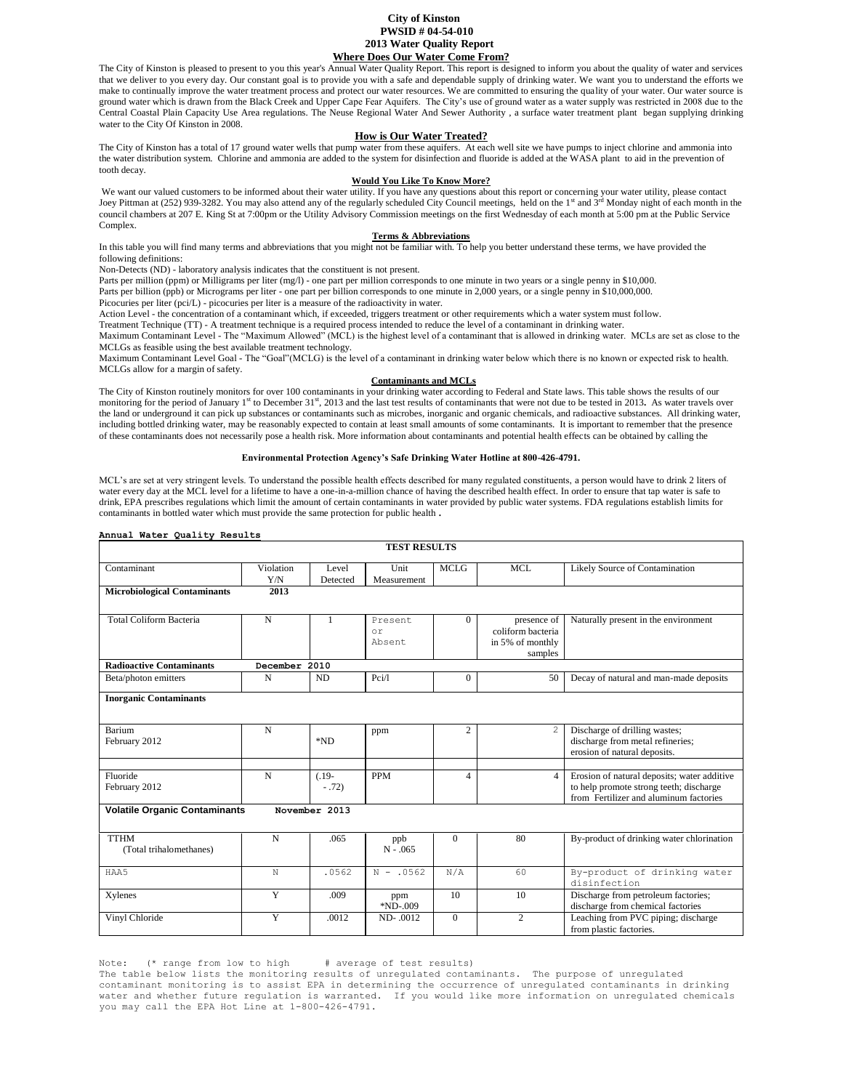# **City of Kinston PWSID # 04-54-010 2013 Water Quality Report Where Does Our Water Come From?**

The City of Kinston is pleased to present to you this year's Annual Water Quality Report. This report is designed to inform you about the quality of water and services that we deliver to you every day. Our constant goal is to provide you with a safe and dependable supply of drinking water. We want you to understand the efforts we make to continually improve the water treatment process and protect our water resources. We are committed to ensuring the quality of your water. Our water source is ground water which is drawn from the Black Creek and Upper Cape Fear Aquifers. The City's use of ground water as a water supply was restricted in 2008 due to the Central Coastal Plain Capacity Use Area regulations. The Neuse Regional Water And Sewer Authority , a surface water treatment plant began supplying drinking water to the City Of Kinston in 2008.

# **How is Our Water Treated?**

The City of Kinston has a total of 17 ground water wells that pump water from these aquifers. At each well site we have pumps to inject chlorine and ammonia into the water distribution system. Chlorine and ammonia are added to the system for disinfection and fluoride is added at the WASA plant to aid in the prevention of tooth decay.

## **Would You Like To Know More?**

We want our valued customers to be informed about their water utility. If you have any questions about this report or concerning your water utility, please contact Joey Pittman at (252) 939-3282. You may also attend any of the regularly scheduled City Council meetings, held on the 1<sup>st</sup> and 3<sup>rd</sup> Monday night of each month in the council chambers at 207 E. King St at 7:00pm or the Utility Advisory Commission meetings on the first Wednesday of each month at 5:00 pm at the Public Service Complex.

## **Terms & Abbreviations**

In this table you will find many terms and abbreviations that you might not be familiar with. To help you better understand these terms, we have provided the following definitions:

Non-Detects (ND) - laboratory analysis indicates that the constituent is not present.

Parts per million (ppm) or Milligrams per liter (mg/l) - one part per million corresponds to one minute in two years or a single penny in \$10,000.

Parts per billion (ppb) or Micrograms per liter - one part per billion corresponds to one minute in 2,000 years, or a single penny in \$10,000,000.

Picocuries per liter (pci/L) - picocuries per liter is a measure of the radioactivity in water. Action Level - the concentration of a contaminant which, if exceeded, triggers treatment or other requirements which a water system must follow.

Treatment Technique (TT) - A treatment technique is a required process intended to reduce the level of a contaminant in drinking water.

Maximum Contaminant Level - The "Maximum Allowed" (MCL) is the highest level of a contaminant that is allowed in drinking water. MCLs are set as close to the MCLGs as feasible using the best available treatment technology.

Maximum Contaminant Level Goal - The "Goal"(MCLG) is the level of a contaminant in drinking water below which there is no known or expected risk to health. MCLGs allow for a margin of safety.

#### **Contaminants and MCLs**

The City of Kinston routinely monitors for over 100 contaminants in your drinking water according to Federal and State laws. This table shows the results of our monitoring for the period of January 1<sup>st</sup> to December 31<sup>st</sup>, 2013 and the last test results of contaminants that were not due to be tested in 2013. As water travels over the land or underground it can pick up substances or contaminants such as microbes, inorganic and organic chemicals, and radioactive substances. All drinking water, including bottled drinking water, may be reasonably expected to contain at least small amounts of some contaminants. It is important to remember that the presence of these contaminants does not necessarily pose a health risk. More information about contaminants and potential health effects can be obtained by calling the

### **Environmental Protection Agency's Safe Drinking Water Hotline at 800-426-4791.**

MCL's are set at very stringent levels. To understand the possible health effects described for many regulated constituents, a person would have to drink 2 liters of water every day at the MCL level for a lifetime to have a one-in-a-million chance of having the described health effect. In order to ensure that tap water is safe to drink, EPA prescribes regulations which limit the amount of certain contaminants in water provided by public water systems. FDA regulations establish limits for contaminants in bottled water which must provide the same protection for public health **.**

### **Annual Water Quality Results**

| <b>TEST RESULTS</b>                    |                  |                    |                         |                |                                                                 |                                                                                                                                  |
|----------------------------------------|------------------|--------------------|-------------------------|----------------|-----------------------------------------------------------------|----------------------------------------------------------------------------------------------------------------------------------|
| Contaminant                            | Violation<br>Y/N | Level<br>Detected  | Unit<br>Measurement     | <b>MCLG</b>    | MCL                                                             | Likely Source of Contamination                                                                                                   |
| <b>Microbiological Contaminants</b>    | 2013             |                    |                         |                |                                                                 |                                                                                                                                  |
| <b>Total Coliform Bacteria</b>         | $\mathbf N$      | 1                  | Present<br>or<br>Absent | $\Omega$       | presence of<br>coliform bacteria<br>in 5% of monthly<br>samples | Naturally present in the environment                                                                                             |
| <b>Radioactive Contaminants</b>        | December 2010    |                    |                         |                |                                                                 |                                                                                                                                  |
| Beta/photon emitters                   | N                | ND                 | Pci/l                   | $\Omega$       | 50                                                              | Decay of natural and man-made deposits                                                                                           |
| <b>Inorganic Contaminants</b>          |                  |                    |                         |                |                                                                 |                                                                                                                                  |
| Barium<br>February 2012                | $\mathbf N$      | $*ND$              | ppm                     | $\overline{c}$ | 2                                                               | Discharge of drilling wastes;<br>discharge from metal refineries;<br>erosion of natural deposits.                                |
| Fluoride<br>February 2012              | $\mathbf N$      | $(.19-$<br>$-.72)$ | <b>PPM</b>              | $\overline{4}$ | $\overline{4}$                                                  | Erosion of natural deposits; water additive<br>to help promote strong teeth; discharge<br>from Fertilizer and aluminum factories |
| <b>Volatile Organic Contaminants</b>   |                  | November 2013      |                         |                |                                                                 |                                                                                                                                  |
| <b>TTHM</b><br>(Total trihalomethanes) | $\mathbf N$      | .065               | ppb<br>$N - 0.065$      | $\mathbf{0}$   | 80                                                              | By-product of drinking water chlorination                                                                                        |
| HAA5                                   | N                | .0562              | $N - .0562$             | N/A            | 60                                                              | By-product of drinking water<br>disinfection                                                                                     |
| Xylenes                                | Y                | .009               | ppm<br>$*ND-009$        | 10             | 10                                                              | Discharge from petroleum factories;<br>discharge from chemical factories                                                         |
| Vinyl Chloride                         | Y                | .0012              | ND-.0012                | $\Omega$       | 2                                                               | Leaching from PVC piping; discharge<br>from plastic factories.                                                                   |

Note: (\* range from low to high # average of test results)

The table below lists the monitoring results of unregulated contaminants. The purpose of unregulated contaminant monitoring is to assist EPA in determining the occurrence of unregulated contaminants in drinking water and whether future regulation is warranted. If you would like more information on unregulated chemicals you may call the EPA Hot Line at 1-800-426-4791.